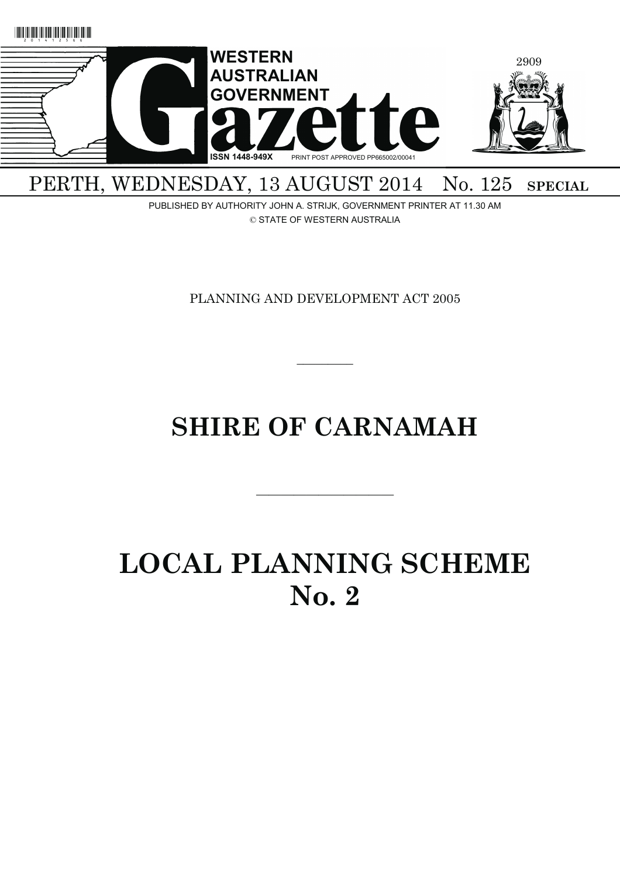

PERTH, WEDNESDAY, 13 AUGUST 2014 No. 125 SPECIAL

PUBLISHED BY AUTHORITY JOHN A. STRIJK, GOVERNMENT PRINTER AT 11.30 AM © STATE OF WESTERN AUSTRALIA

PLANNING AND DEVELOPMENT ACT 2005

 $\overline{\phantom{a}}$   $\overline{\phantom{a}}$ 

# **SHIRE OF CARNAMAH**

———————————

# **LOCAL PLANNING SCHEME No. 2**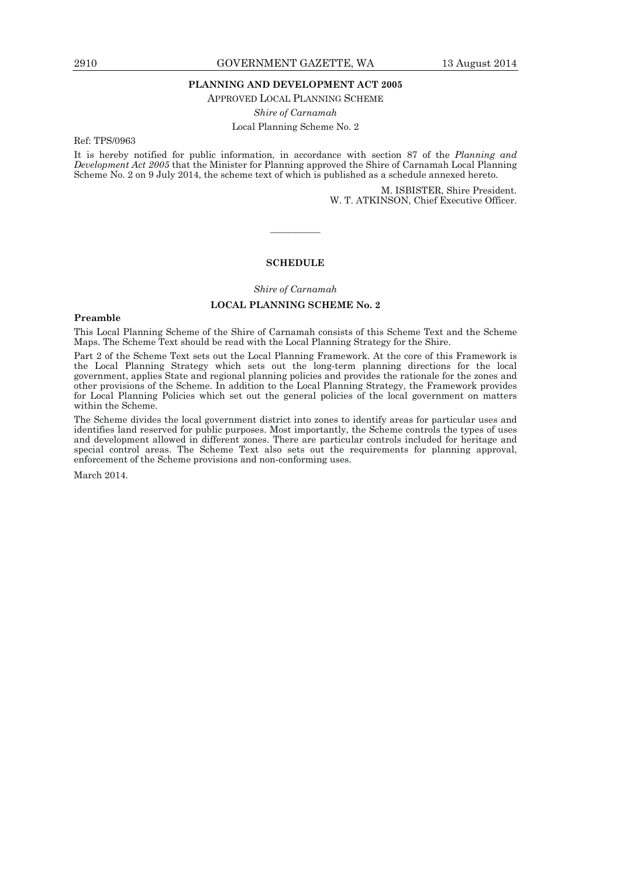#### **PLANNING AND DEVELOPMENT ACT 2005**

APPROVED LOCAL PLANNING SCHEME

*Shire of Carnamah* 

Local Planning Scheme No. 2

Ref: TPS/0963

It is hereby notified for public information, in accordance with section 87 of the *Planning and Development Act 2005* that the Minister for Planning approved the Shire of Carnamah Local Planning Scheme No. 2 on 9 July 2014, the scheme text of which is published as a schedule annexed hereto.

> M. ISBISTER, Shire President. W. T. ATKINSON, Chief Executive Officer.

#### **SCHEDULE**

————

*Shire of Carnamah* 

# **LOCAL PLANNING SCHEME No. 2**

#### **Preamble**

This Local Planning Scheme of the Shire of Carnamah consists of this Scheme Text and the Scheme Maps. The Scheme Text should be read with the Local Planning Strategy for the Shire.

Part 2 of the Scheme Text sets out the Local Planning Framework. At the core of this Framework is the Local Planning Strategy which sets out the long-term planning directions for the local government, applies State and regional planning policies and provides the rationale for the zones and other provisions of the Scheme. In addition to the Local Planning Strategy, the Framework provides for Local Planning Policies which set out the general policies of the local government on matters within the Scheme.

The Scheme divides the local government district into zones to identify areas for particular uses and identifies land reserved for public purposes. Most importantly, the Scheme controls the types of uses and development allowed in different zones. There are particular controls included for heritage and special control areas. The Scheme Text also sets out the requirements for planning approval, enforcement of the Scheme provisions and non-conforming uses.

March 2014.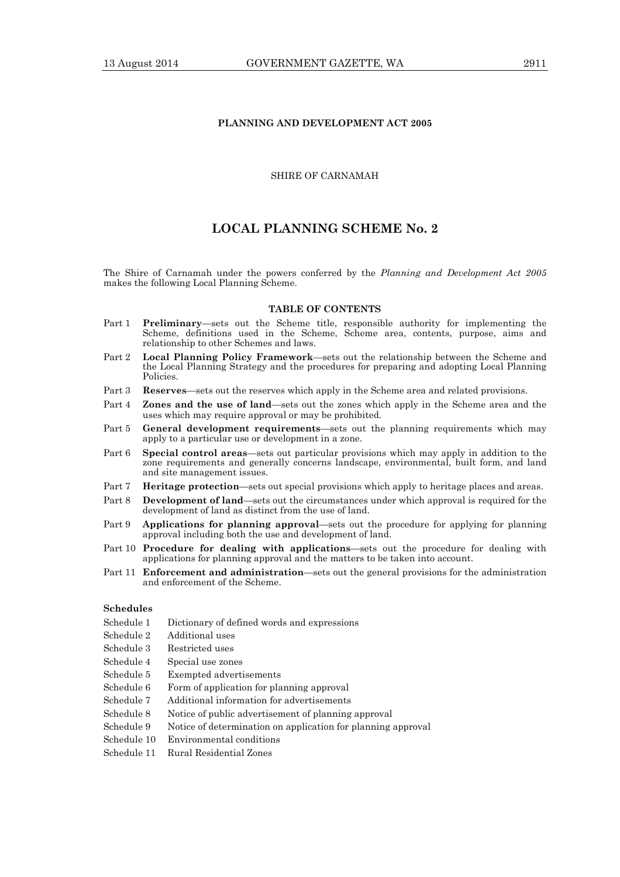# **PLANNING AND DEVELOPMENT ACT 2005**

# SHIRE OF CARNAMAH

# **LOCAL PLANNING SCHEME No. 2**

The Shire of Carnamah under the powers conferred by the *Planning and Development Act 2005* makes the following Local Planning Scheme.

#### **TABLE OF CONTENTS**

- Part 1 **Preliminary**—sets out the Scheme title, responsible authority for implementing the Scheme, definitions used in the Scheme, Scheme area, contents, purpose, aims and relationship to other Schemes and laws.
- Part 2 **Local Planning Policy Framework**—sets out the relationship between the Scheme and the Local Planning Strategy and the procedures for preparing and adopting Local Planning Policies.
- Part 3 **Reserves**—sets out the reserves which apply in the Scheme area and related provisions.
- Part 4 **Zones and the use of land**—sets out the zones which apply in the Scheme area and the uses which may require approval or may be prohibited.
- Part 5 **General development requirements**—sets out the planning requirements which may apply to a particular use or development in a zone.
- Part 6 **Special control areas**—sets out particular provisions which may apply in addition to the zone requirements and generally concerns landscape, environmental, built form, and land and site management issues.
- Part 7 **Heritage protection**—sets out special provisions which apply to heritage places and areas.
- Part 8 **Development of land**—sets out the circumstances under which approval is required for the development of land as distinct from the use of land.
- Part 9 **Applications for planning approval**—sets out the procedure for applying for planning approval including both the use and development of land.
- Part 10 **Procedure for dealing with applications**—sets out the procedure for dealing with applications for planning approval and the matters to be taken into account.
- Part 11 **Enforcement and administration**—sets out the general provisions for the administration and enforcement of the Scheme.

# **Schedules**

- Schedule 1 Dictionary of defined words and expressions
- Schedule 2 Additional uses
- Schedule 3 Restricted uses
- Schedule 4 Special use zones
- Schedule 5 Exempted advertisements
- Schedule 6 Form of application for planning approval
- Schedule 7 Additional information for advertisements
- Schedule 8 Notice of public advertisement of planning approval
- Schedule 9 Notice of determination on application for planning approval
- Schedule 10 Environmental conditions
- Schedule 11 Rural Residential Zones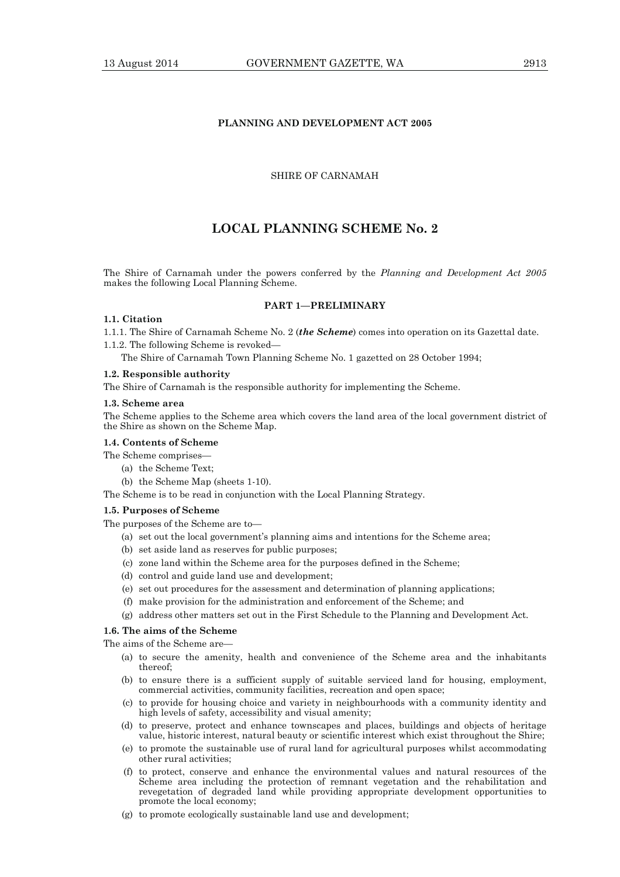# **PLANNING AND DEVELOPMENT ACT 2005**

# SHIRE OF CARNAMAH

# **LOCAL PLANNING SCHEME No. 2**

The Shire of Carnamah under the powers conferred by the *Planning and Development Act 2005* makes the following Local Planning Scheme.

# **PART 1—PRELIMINARY**

# **1.1. Citation**

1.1.1. The Shire of Carnamah Scheme No. 2 (*the Scheme*) comes into operation on its Gazettal date.

1.1.2. The following Scheme is revoked—

The Shire of Carnamah Town Planning Scheme No. 1 gazetted on 28 October 1994;

#### **1.2. Responsible authority**

The Shire of Carnamah is the responsible authority for implementing the Scheme.

#### **1.3. Scheme area**

The Scheme applies to the Scheme area which covers the land area of the local government district of the Shire as shown on the Scheme Map.

#### **1.4. Contents of Scheme**

- The Scheme comprises—
	- (a) the Scheme Text;
	- (b) the Scheme Map (sheets 1-10).

The Scheme is to be read in conjunction with the Local Planning Strategy.

#### **1.5. Purposes of Scheme**

The purposes of the Scheme are to—

- (a) set out the local government's planning aims and intentions for the Scheme area;
- (b) set aside land as reserves for public purposes;
- (c) zone land within the Scheme area for the purposes defined in the Scheme;
- (d) control and guide land use and development;
- (e) set out procedures for the assessment and determination of planning applications;
- (f) make provision for the administration and enforcement of the Scheme; and
- (g) address other matters set out in the First Schedule to the Planning and Development Act.

# **1.6. The aims of the Scheme**

The aims of the Scheme are—

- (a) to secure the amenity, health and convenience of the Scheme area and the inhabitants thereof;
- (b) to ensure there is a sufficient supply of suitable serviced land for housing, employment, commercial activities, community facilities, recreation and open space;
- (c) to provide for housing choice and variety in neighbourhoods with a community identity and high levels of safety, accessibility and visual amenity;
- (d) to preserve, protect and enhance townscapes and places, buildings and objects of heritage value, historic interest, natural beauty or scientific interest which exist throughout the Shire;
- (e) to promote the sustainable use of rural land for agricultural purposes whilst accommodating other rural activities;
- (f) to protect, conserve and enhance the environmental values and natural resources of the Scheme area including the protection of remnant vegetation and the rehabilitation and revegetation of degraded land while providing appropriate development opportunities to promote the local economy;
- (g) to promote ecologically sustainable land use and development;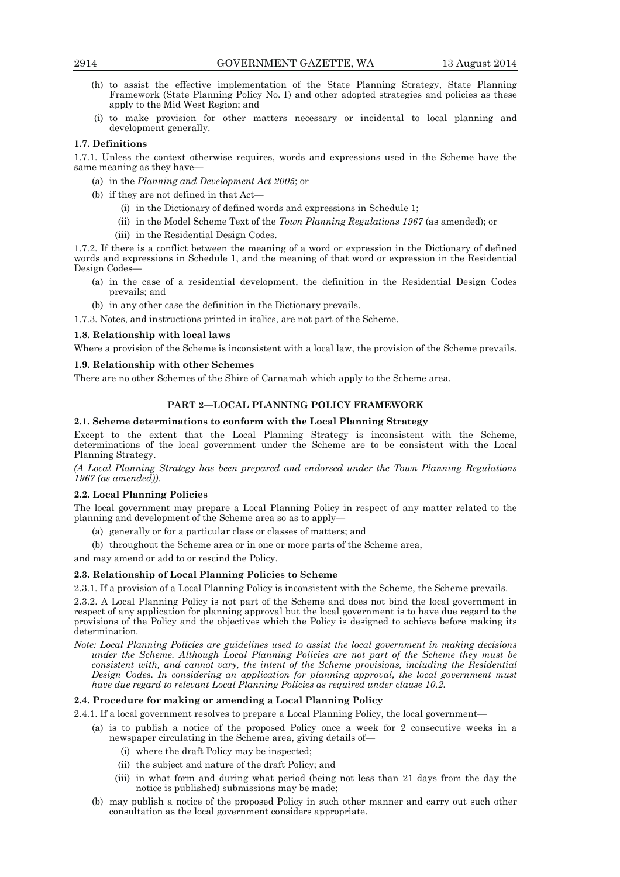- (h) to assist the effective implementation of the State Planning Strategy, State Planning Framework (State Planning Policy No. 1) and other adopted strategies and policies as these apply to the Mid West Region; and
- (i) to make provision for other matters necessary or incidental to local planning and development generally.

# **1.7. Definitions**

1.7.1. Unless the context otherwise requires, words and expressions used in the Scheme have the same meaning as they have—

- (a) in the *Planning and Development Act 2005*; or
- (b) if they are not defined in that Act—
	- (i) in the Dictionary of defined words and expressions in Schedule 1;
	- (ii) in the Model Scheme Text of the *Town Planning Regulations 1967* (as amended); or
	- (iii) in the Residential Design Codes.

1.7.2. If there is a conflict between the meaning of a word or expression in the Dictionary of defined words and expressions in Schedule 1, and the meaning of that word or expression in the Residential Design Codes—

- (a) in the case of a residential development, the definition in the Residential Design Codes prevails; and
- (b) in any other case the definition in the Dictionary prevails.

1.7.3. Notes, and instructions printed in italics, are not part of the Scheme.

#### **1.8. Relationship with local laws**

Where a provision of the Scheme is inconsistent with a local law, the provision of the Scheme prevails.

#### **1.9. Relationship with other Schemes**

There are no other Schemes of the Shire of Carnamah which apply to the Scheme area.

# **PART 2—LOCAL PLANNING POLICY FRAMEWORK**

#### **2.1. Scheme determinations to conform with the Local Planning Strategy**

Except to the extent that the Local Planning Strategy is inconsistent with the Scheme, determinations of the local government under the Scheme are to be consistent with the Local Planning Strategy.

*(A Local Planning Strategy has been prepared and endorsed under the Town Planning Regulations 1967 (as amended)).* 

# **2.2. Local Planning Policies**

The local government may prepare a Local Planning Policy in respect of any matter related to the planning and development of the Scheme area so as to apply—

- (a) generally or for a particular class or classes of matters; and
- (b) throughout the Scheme area or in one or more parts of the Scheme area,

and may amend or add to or rescind the Policy.

# **2.3. Relationship of Local Planning Policies to Scheme**

2.3.1. If a provision of a Local Planning Policy is inconsistent with the Scheme, the Scheme prevails.

2.3.2. A Local Planning Policy is not part of the Scheme and does not bind the local government in respect of any application for planning approval but the local government is to have due regard to the provisions of the Policy and the objectives which the Policy is designed to achieve before making its determination.

*Note: Local Planning Policies are guidelines used to assist the local government in making decisions under the Scheme. Although Local Planning Policies are not part of the Scheme they must be consistent with, and cannot vary, the intent of the Scheme provisions, including the Residential Design Codes. In considering an application for planning approval, the local government must have due regard to relevant Local Planning Policies as required under clause 10.2.* 

#### **2.4. Procedure for making or amending a Local Planning Policy**

2.4.1. If a local government resolves to prepare a Local Planning Policy, the local government—

- (a) is to publish a notice of the proposed Policy once a week for 2 consecutive weeks in a newspaper circulating in the Scheme area, giving details of—
	- (i) where the draft Policy may be inspected;
	- (ii) the subject and nature of the draft Policy; and
	- (iii) in what form and during what period (being not less than 21 days from the day the notice is published) submissions may be made;
- (b) may publish a notice of the proposed Policy in such other manner and carry out such other consultation as the local government considers appropriate.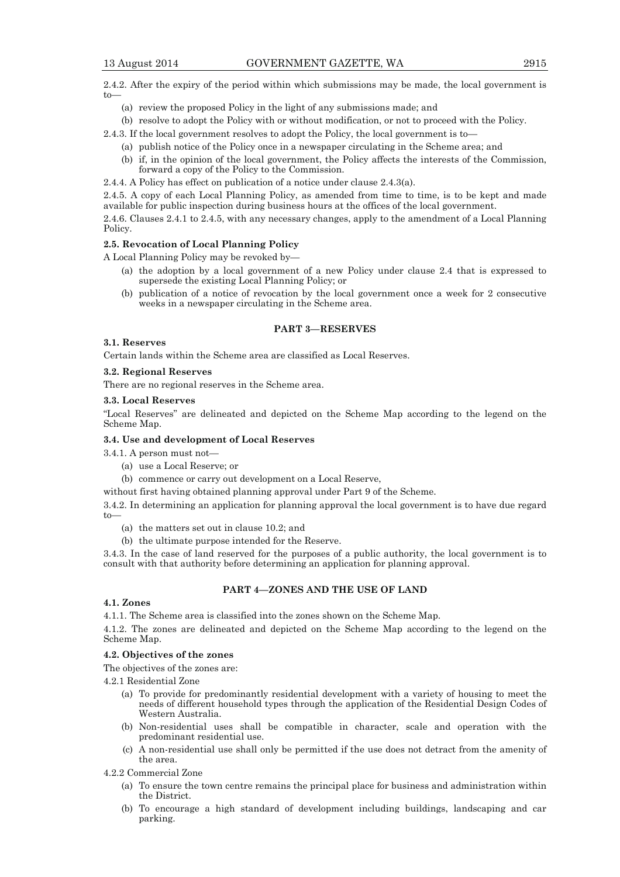2.4.2. After the expiry of the period within which submissions may be made, the local government is  $t_0$ 

- (a) review the proposed Policy in the light of any submissions made; and
- (b) resolve to adopt the Policy with or without modification, or not to proceed with the Policy.

2.4.3. If the local government resolves to adopt the Policy, the local government is to—

- (a) publish notice of the Policy once in a newspaper circulating in the Scheme area; and
- (b) if, in the opinion of the local government, the Policy affects the interests of the Commission, forward a copy of the Policy to the Commission.

2.4.4. A Policy has effect on publication of a notice under clause 2.4.3(a).

2.4.5. A copy of each Local Planning Policy, as amended from time to time, is to be kept and made available for public inspection during business hours at the offices of the local government.

2.4.6. Clauses 2.4.1 to 2.4.5, with any necessary changes, apply to the amendment of a Local Planning Policy.

#### **2.5. Revocation of Local Planning Policy**

A Local Planning Policy may be revoked by—

- (a) the adoption by a local government of a new Policy under clause 2.4 that is expressed to supersede the existing Local Planning Policy; or
- (b) publication of a notice of revocation by the local government once a week for 2 consecutive weeks in a newspaper circulating in the Scheme area.

# **PART 3—RESERVES**

#### **3.1. Reserves**

Certain lands within the Scheme area are classified as Local Reserves.

# **3.2. Regional Reserves**

There are no regional reserves in the Scheme area.

#### **3.3. Local Reserves**

"Local Reserves" are delineated and depicted on the Scheme Map according to the legend on the Scheme Map.

#### **3.4. Use and development of Local Reserves**

- 3.4.1. A person must not—
	- (a) use a Local Reserve; or
	- (b) commence or carry out development on a Local Reserve,

without first having obtained planning approval under Part 9 of the Scheme.

3.4.2. In determining an application for planning approval the local government is to have due regard to—

- (a) the matters set out in clause 10.2; and
- (b) the ultimate purpose intended for the Reserve.

3.4.3. In the case of land reserved for the purposes of a public authority, the local government is to consult with that authority before determining an application for planning approval.

## **PART 4—ZONES AND THE USE OF LAND**

# **4.1. Zones**

4.1.1. The Scheme area is classified into the zones shown on the Scheme Map.

4.1.2. The zones are delineated and depicted on the Scheme Map according to the legend on the Scheme Map.

## **4.2. Objectives of the zones**

The objectives of the zones are:

4.2.1 Residential Zone

- (a) To provide for predominantly residential development with a variety of housing to meet the needs of different household types through the application of the Residential Design Codes of Western Australia.
- (b) Non-residential uses shall be compatible in character, scale and operation with the predominant residential use.
- (c) A non-residential use shall only be permitted if the use does not detract from the amenity of the area.
- 4.2.2 Commercial Zone
	- (a) To ensure the town centre remains the principal place for business and administration within the District.
	- (b) To encourage a high standard of development including buildings, landscaping and car parking.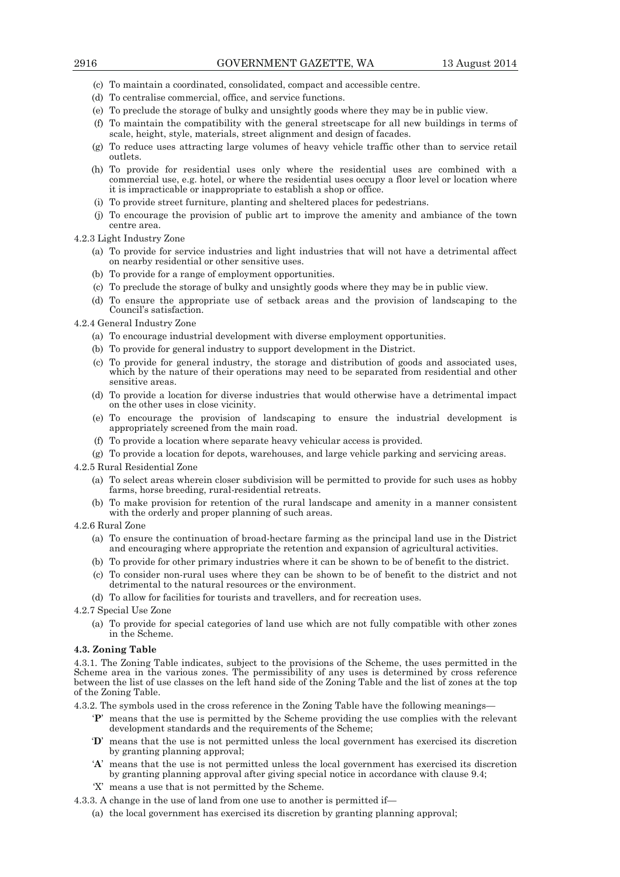- (c) To maintain a coordinated, consolidated, compact and accessible centre.
- (d) To centralise commercial, office, and service functions.
- (e) To preclude the storage of bulky and unsightly goods where they may be in public view.
- (f) To maintain the compatibility with the general streetscape for all new buildings in terms of scale, height, style, materials, street alignment and design of facades.
- (g) To reduce uses attracting large volumes of heavy vehicle traffic other than to service retail outlets.
- (h) To provide for residential uses only where the residential uses are combined with a commercial use, e.g. hotel, or where the residential uses occupy a floor level or location where it is impracticable or inappropriate to establish a shop or office.
- (i) To provide street furniture, planting and sheltered places for pedestrians.
- (j) To encourage the provision of public art to improve the amenity and ambiance of the town centre area.
- 4.2.3 Light Industry Zone
	- (a) To provide for service industries and light industries that will not have a detrimental affect on nearby residential or other sensitive uses.
	- (b) To provide for a range of employment opportunities.
	- (c) To preclude the storage of bulky and unsightly goods where they may be in public view.
	- (d) To ensure the appropriate use of setback areas and the provision of landscaping to the Council's satisfaction.
- 4.2.4 General Industry Zone
	- (a) To encourage industrial development with diverse employment opportunities.
	- (b) To provide for general industry to support development in the District.
	- (c) To provide for general industry, the storage and distribution of goods and associated uses, which by the nature of their operations may need to be separated from residential and other sensitive areas.
	- (d) To provide a location for diverse industries that would otherwise have a detrimental impact on the other uses in close vicinity.
	- (e) To encourage the provision of landscaping to ensure the industrial development is appropriately screened from the main road.
	- (f) To provide a location where separate heavy vehicular access is provided.
	- (g) To provide a location for depots, warehouses, and large vehicle parking and servicing areas.
- 4.2.5 Rural Residential Zone
	- (a) To select areas wherein closer subdivision will be permitted to provide for such uses as hobby farms, horse breeding, rural-residential retreats.
	- (b) To make provision for retention of the rural landscape and amenity in a manner consistent with the orderly and proper planning of such areas.
- 4.2.6 Rural Zone
	- (a) To ensure the continuation of broad-hectare farming as the principal land use in the District and encouraging where appropriate the retention and expansion of agricultural activities.
	- (b) To provide for other primary industries where it can be shown to be of benefit to the district.
	- (c) To consider non-rural uses where they can be shown to be of benefit to the district and not detrimental to the natural resources or the environment.
	- (d) To allow for facilities for tourists and travellers, and for recreation uses.
- 4.2.7 Special Use Zone
	- (a) To provide for special categories of land use which are not fully compatible with other zones in the Scheme.

#### **4.3. Zoning Table**

4.3.1. The Zoning Table indicates, subject to the provisions of the Scheme, the uses permitted in the Scheme area in the various zones. The permissibility of any uses is determined by cross reference between the list of use classes on the left hand side of the Zoning Table and the list of zones at the top of the Zoning Table.

4.3.2. The symbols used in the cross reference in the Zoning Table have the following meanings—

- '**P**' means that the use is permitted by the Scheme providing the use complies with the relevant development standards and the requirements of the Scheme;
- '**D**' means that the use is not permitted unless the local government has exercised its discretion by granting planning approval;
- '**A**' means that the use is not permitted unless the local government has exercised its discretion by granting planning approval after giving special notice in accordance with clause 9.4;
- 'X' means a use that is not permitted by the Scheme.
- 4.3.3. A change in the use of land from one use to another is permitted if—
	- (a) the local government has exercised its discretion by granting planning approval;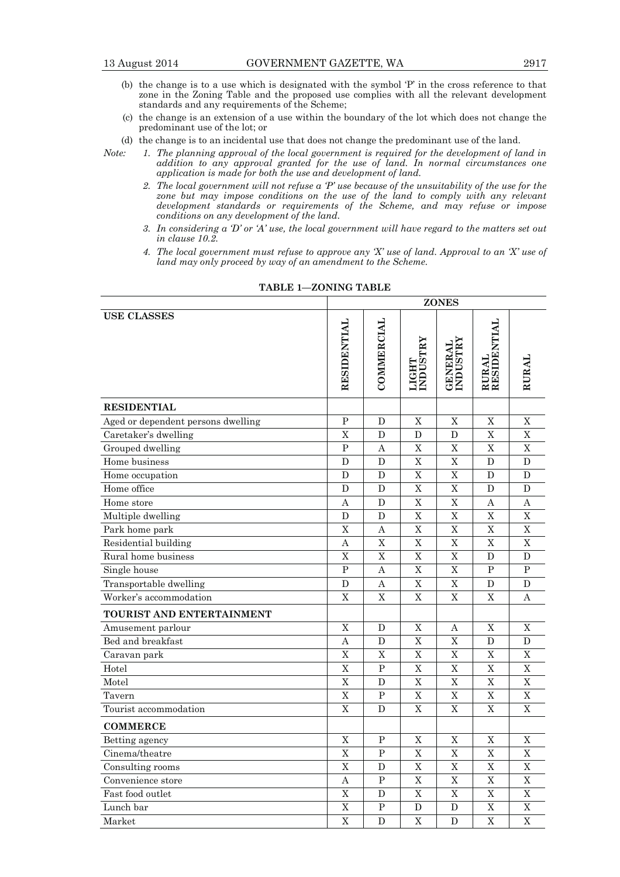- (b) the change is to a use which is designated with the symbol 'P' in the cross reference to that zone in the Zoning Table and the proposed use complies with all the relevant development standards and any requirements of the Scheme;
- (c) the change is an extension of a use within the boundary of the lot which does not change the predominant use of the lot; or
- (d) the change is to an incidental use that does not change the predominant use of the land.
- *Note: 1. The planning approval of the local government is required for the development of land in addition to any approval granted for the use of land. In normal circumstances one application is made for both the use and development of land.* 
	- *2. The local government will not refuse a 'P' use because of the unsuitability of the use for the*  zone but may impose conditions on the use of the land to comply with any relevant development standards or requirements of the Scheme, and may refuse or impose *conditions on any development of the land.*
	- *3. In considering a 'D' or 'A' use, the local government will have regard to the matters set out in clause 10.2.*
	- *4. The local government must refuse to approve any 'X' use of land. Approval to an 'X' use of land may only proceed by way of an amendment to the Scheme.*

|                                    |              |              |                         | <b>ZONES</b>                |                      |             |
|------------------------------------|--------------|--------------|-------------------------|-----------------------------|----------------------|-------------|
| <b>USE CLASSES</b>                 | RESIDENTIAL  | COMMERCIAL   | LIGHT<br>INDUSTRY       | <b>GENERAL<br/>INDUSTRY</b> | RURAL<br>RESIDENTIAL | RURAI       |
| <b>RESIDENTIAL</b>                 |              |              |                         |                             |                      |             |
| Aged or dependent persons dwelling | $\mathbf{P}$ | D            | X                       | X                           | X                    | X           |
| Caretaker's dwelling               | X            | D            | D                       | D                           | $\overline{X}$       | X           |
| Grouped dwelling                   | $\mathbf{P}$ | A            | $\overline{\text{X}}$   | $\overline{X}$              | $\overline{X}$       | X           |
| Home business                      | D            | D            | X                       | X                           | D                    | D           |
| Home occupation                    | D            | $\mathbf D$  | $\overline{X}$          | $\overline{\mathbf{X}}$     | $\mathbf D$          | D           |
| Home office                        | D            | D            | X                       | $\mathbf X$                 | D                    | D           |
| Home store                         | Α            | D            | $\overline{X}$          | $\rm X$                     | Α                    | A           |
| Multiple dwelling                  | D            | D            | X                       | $\overline{X}$              | $\mathbf X$          | $\mathbf X$ |
| Park home park                     | X            | А            | X                       | X                           | X                    | X           |
| Residential building               | А            | $\mathbf X$  | $\overline{X}$          | $\mathbf X$                 | X                    | X           |
| Rural home business                | X            | X            | $\overline{X}$          | $\overline{X}$              | D                    | D           |
| Single house                       | P            | А            | X                       | $\overline{X}$              | P                    | P           |
| Transportable dwelling             | D            | A            | $\overline{\mathrm{X}}$ | $\overline{\mathbf{X}}$     | D                    | D           |
| Worker's accommodation             | X            | X            | X                       | X                           | X                    | А           |
| TOURIST AND ENTERTAINMENT          |              |              |                         |                             |                      |             |
| Amusement parlour                  | X            | D            | X                       | А                           | X                    | X           |
| Bed and breakfast                  | A            | $\mathbf D$  | $\overline{\mathrm{X}}$ | $\overline{X}$              | $\mathbf D$          | $\mathbf D$ |
| Caravan park                       | X            | X            | $\overline{X}$          | $\overline{X}$              | $\mathbf X$          | X           |
| Hotel                              | $\mathbf X$  | P            | $\overline{X}$          | $\mathbf X$                 | $\mathbf X$          | $\mathbf X$ |
| Motel                              | X            | D            | $\overline{X}$          | X                           | $\overline{X}$       | X           |
| Tavern                             | X            | $\mathbf{P}$ | X                       | X                           | $\mathbf X$          | X           |
| Tourist accommodation              | $\mathbf X$  | D            | X                       | $\mathbf X$                 | $\mathbf X$          | $\mathbf X$ |
| <b>COMMERCE</b>                    |              |              |                         |                             |                      |             |
| Betting agency                     | X            | P            | X                       | X                           | X                    | X           |
| Cinema/theatre                     | $\mathbf X$  | P            | $\overline{X}$          | $\mathbf X$                 | $\mathbf X$          | $\mathbf X$ |
| Consulting rooms                   | X            | D            | X                       | X                           | $\mathbf X$          | $\mathbf X$ |
| Convenience store                  | A            | $\mathbf P$  | X                       | X                           | $\mathbf X$          | $\mathbf X$ |
| Fast food outlet                   | X            | D            | $\overline{X}$          | $\mathbf X$                 | $\mathbf X$          | $\mathbf X$ |
| Lunch bar                          | X            | P            | D                       | D                           | X                    | X           |
| Market                             | X            | D            | X                       | D                           | X                    | X           |

**TABLE 1—ZONING TABLE**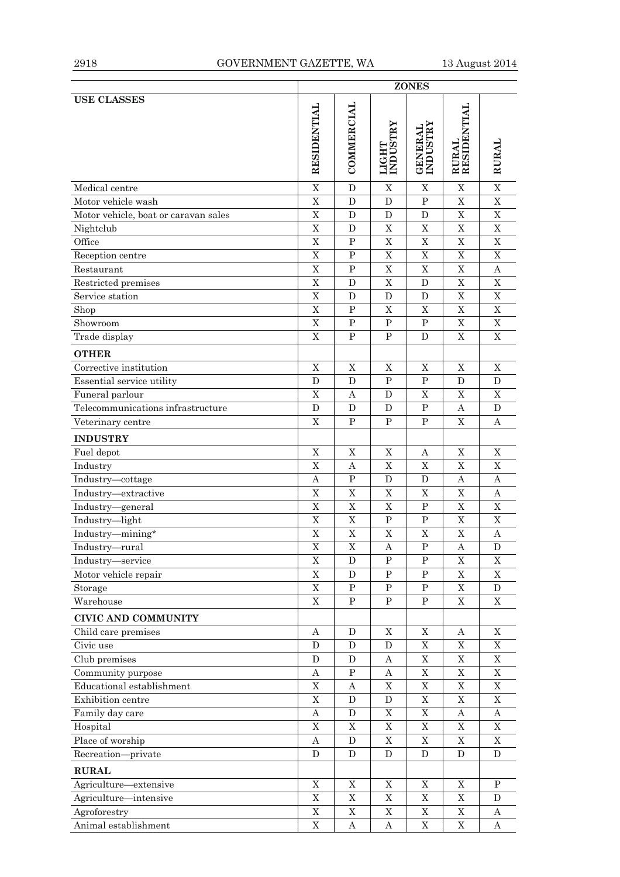|                                      | <b>ZONES</b>   |                |                   |                             |                      |             |
|--------------------------------------|----------------|----------------|-------------------|-----------------------------|----------------------|-------------|
| <b>USE CLASSES</b>                   | RESIDENTIAL    | COMMERCIAL     | LIGHT<br>INDUSTRY | <b>GENERAL<br/>INDUSTRY</b> | RURAL<br>RESIDENTIAL | RURAI       |
| Medical centre                       | $\mathbf X$    | D              | $\mathbf X$       | $\mathbf X$                 | $\mathbf X$          | $\mathbf X$ |
| Motor vehicle wash                   | $\overline{X}$ | $\mathbf D$    | $\mathbf D$       | $\mathbf P$                 | $\mathbf X$          | $\mathbf X$ |
| Motor vehicle, boat or caravan sales | $\mathbf X$    | D              | D                 | D                           | X                    | X           |
| Nightclub                            | X              | D              | X                 | $\mathbf X$                 | $\mathbf X$          | $\mathbf X$ |
| Office                               | $\mathbf X$    | $\, {\bf P}$   | $\mathbf X$       | $\mathbf X$                 | $\mathbf X$          | $\mathbf X$ |
| Reception centre                     | $\mathbf X$    | $\, {\bf P}$   | $\mathbf X$       | $\mathbf X$                 | $\mathbf X$          | $\mathbf X$ |
| Restaurant                           | $\overline{X}$ | P              | $\mathbf X$       | $\mathbf X$                 | $\rm X$              | A           |
| Restricted premises                  | $\overline{X}$ | D              | X                 | $\mathbf D$                 | $\mathbf X$          | $\mathbf X$ |
| Service station                      | $\mathbf X$    | D              | D                 | D                           | $\mathbf X$          | X           |
| Shop                                 | $\mathbf X$    | P              | $\mathbf X$       | $\mathbf X$                 | $\mathbf X$          | $\mathbf X$ |
| Showroom                             | $\mathbf X$    | $\, {\bf P}$   | $\mathbf P$       | $\mathbf P$                 | $\mathbf X$          | $\mathbf X$ |
| Trade display                        | $\mathbf X$    | $\, {\bf P}$   | $\mathbf P$       | D                           | $\mathbf X$          | $\mathbf X$ |
| <b>OTHER</b>                         |                |                |                   |                             |                      |             |
| Corrective institution               | $\mathbf X$    | $\mathbf X$    | X                 | $\mathbf X$                 | $\mathbf X$          | $\mathbf X$ |
| Essential service utility            | D              | D              | $\mathbf{P}$      | $\mathbf P$                 | D                    | D           |
| Funeral parlour                      | $\mathbf X$    | А              | D                 | X                           | X                    | X           |
| Telecommunications infrastructure    | D              | D              | D                 | ${\bf P}$                   | Α                    | D           |
| Veterinary centre                    | X              | P              | P                 | P                           | X                    | А           |
| <b>INDUSTRY</b>                      |                |                |                   |                             |                      |             |
| Fuel depot                           | X              | X              | X                 | А                           | X                    | X           |
| Industry                             | $\mathbf X$    | А              | X                 | X                           | $\mathbf X$          | $\mathbf X$ |
| Industry-cottage                     | Α              | $\, {\bf P}$   | D                 | D                           | А                    | А           |
| Industry-extractive                  | $\mathbf X$    | $\mathbf X$    | $\mathbf X$       | X                           | $\mathbf X$          | Α           |
| Industry-general                     | $\overline{X}$ | $\overline{X}$ | $\mathbf X$       | ${\bf P}$                   | $\mathbf X$          | $\mathbf X$ |
| Industry-light                       | $\mathbf X$    | $\mathbf X$    | $\mathbf{P}$      | $\mathbf{P}$                | X                    | X           |
| Industry-mining*                     | $\mathbf X$    | $\mathbf X$    | $\mathbf X$       | X                           | X                    | Α           |
| Industry—rural                       | X              | X              | A                 | P                           | A                    | D           |
| Industry-service                     | X              | D              | ${\bf P}$         | ${\bf P}$                   | X                    | X           |
| Motor vehicle repair                 | $\mathbf X$    | ${\bf D}$      | ${\bf P}$         | ${\bf P}$                   | $\mathbf X$          | $\mathbf X$ |
| Storage                              | $\rm X$        | ${\bf P}$      | ${\bf P}$         | ${\bf P}$                   | $\mathbf X$          | $\mathbf D$ |
| Warehouse                            | $\mathbf X$    | ${\bf P}$      | ${\bf P}$         | ${\bf P}$                   | $\mathbf X$          | X           |
| <b>CIVIC AND COMMUNITY</b>           |                |                |                   |                             |                      |             |
| Child care premises                  | Α              | D              | X                 | X                           | Α                    | X           |
| Civic use                            | ${\bf D}$      | D              | D                 | $\mathbf X$                 | $\mathbf X$          | $\mathbf X$ |
| Club premises                        | D              | D              | Α                 | $\mathbf X$                 | X                    | X           |
| Community purpose                    | A              | $\mathbf P$    | Α                 | $\mathbf X$                 | $\mathbf X$          | X           |
| Educational establishment            | $\mathbf X$    | А              | $\mathbf X$       | $\mathbf X$                 | $\mathbf X$          | $\mathbf X$ |
| Exhibition centre                    | $\mathbf X$    | D              | D                 | $\mathbf X$                 | $\mathbf X$          | X           |
| Family day care                      | А              | D              | X                 | $\mathbf X$                 | Α                    | Α           |
| Hospital                             | $\mathbf X$    | $\mathbf X$    | $\mathbf X$       | $\mathbf X$                 | $\mathbf X$          | $\mathbf X$ |
| Place of worship                     | Α              | D              | $\mathbf X$       | $\mathbf X$                 | $\mathbf X$          | X           |
| Recreation-private                   | D              | D              | D                 | D                           | D                    | D           |
| <b>RURAL</b>                         |                |                |                   |                             |                      |             |
| Agriculture-extensive                | $\mathbf X$    | $\mathbf X$    | $\mathbf X$       | $\mathbf X$                 | $\mathbf X$          | P           |
| Agriculture-intensive                | $\mathbf X$    | $\mathbf X$    | $\mathbf X$       | $\mathbf X$                 | $\mathbf X$          | D           |
| Agroforestry                         | $\mathbf X$    | $\mathbf X$    | $\mathbf X$       | $\mathbf X$                 | $\mathbf X$          | А           |
| Animal establishment                 | $\mathbf X$    | $\mathbf A$    | $\boldsymbol{A}$  | $\mathbf X$                 | $\mathbf X$          | A           |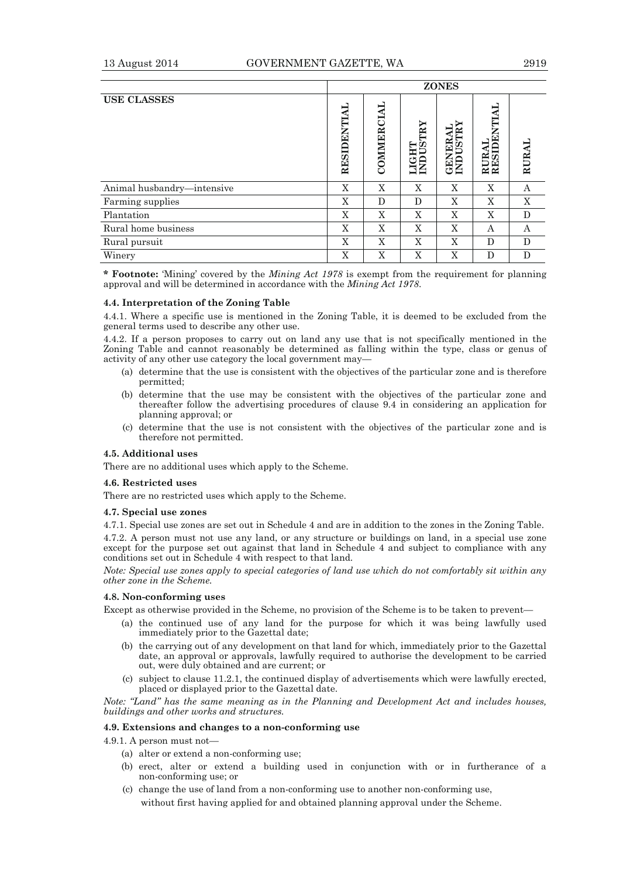|                            | <b>ZONES</b> |                |                   |                             |                              |       |
|----------------------------|--------------|----------------|-------------------|-----------------------------|------------------------------|-------|
| <b>USE CLASSES</b>         | RESIDENTIAL  | CIAL<br>COMMER | LIGHT<br>INDUSTRY | <b>GENERAL<br/>INDUSTRY</b> | SIDENTIAI<br>RAL<br>RE<br>RE | RURAI |
| Animal husbandry-intensive | X            | X              | X                 | X                           | X                            | А     |
| Farming supplies           | X            | D              | D                 | X                           | X                            | X     |
| Plantation                 | X            | X              | X                 | X                           | X                            | D     |
| Rural home business        | X            | X              | X                 | X                           | А                            | А     |
| Rural pursuit              | X            | X              | X                 | X                           | D                            | D     |
| Winery                     | X            | X              | X                 | X                           | D                            | D     |

**\* Footnote:** 'Mining' covered by the *Mining Act 1978* is exempt from the requirement for planning approval and will be determined in accordance with the *Mining Act 1978*.

#### **4.4. Interpretation of the Zoning Table**

4.4.1. Where a specific use is mentioned in the Zoning Table, it is deemed to be excluded from the general terms used to describe any other use.

4.4.2. If a person proposes to carry out on land any use that is not specifically mentioned in the Zoning Table and cannot reasonably be determined as falling within the type, class or genus of activity of any other use category the local government may—

- (a) determine that the use is consistent with the objectives of the particular zone and is therefore permitted;
- (b) determine that the use may be consistent with the objectives of the particular zone and thereafter follow the advertising procedures of clause 9.4 in considering an application for planning approval; or
- (c) determine that the use is not consistent with the objectives of the particular zone and is therefore not permitted.

#### **4.5. Additional uses**

There are no additional uses which apply to the Scheme.

#### **4.6. Restricted uses**

There are no restricted uses which apply to the Scheme.

#### **4.7. Special use zones**

4.7.1. Special use zones are set out in Schedule 4 and are in addition to the zones in the Zoning Table.

4.7.2. A person must not use any land, or any structure or buildings on land, in a special use zone except for the purpose set out against that land in Schedule 4 and subject to compliance with any conditions set out in Schedule 4 with respect to that land.

*Note: Special use zones apply to special categories of land use which do not comfortably sit within any other zone in the Scheme.* 

# **4.8. Non-conforming uses**

Except as otherwise provided in the Scheme, no provision of the Scheme is to be taken to prevent—

- (a) the continued use of any land for the purpose for which it was being lawfully used immediately prior to the Gazettal date;
- (b) the carrying out of any development on that land for which, immediately prior to the Gazettal date, an approval or approvals, lawfully required to authorise the development to be carried out, were duly obtained and are current; or
- (c) subject to clause 11.2.1, the continued display of advertisements which were lawfully erected, placed or displayed prior to the Gazettal date.

*Note: "Land" has the same meaning as in the Planning and Development Act and includes houses, buildings and other works and structures.* 

#### **4.9. Extensions and changes to a non-conforming use**

4.9.1. A person must not—

- (a) alter or extend a non-conforming use;
- (b) erect, alter or extend a building used in conjunction with or in furtherance of a non-conforming use; or
- (c) change the use of land from a non-conforming use to another non-conforming use, without first having applied for and obtained planning approval under the Scheme.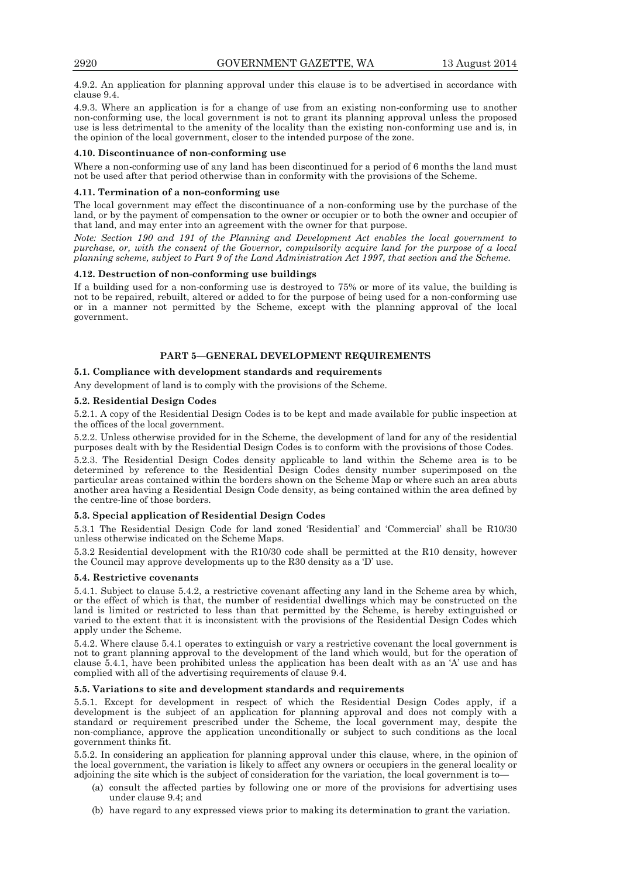4.9.2. An application for planning approval under this clause is to be advertised in accordance with clause 9.4.

4.9.3. Where an application is for a change of use from an existing non-conforming use to another non-conforming use, the local government is not to grant its planning approval unless the proposed use is less detrimental to the amenity of the locality than the existing non-conforming use and is, in the opinion of the local government, closer to the intended purpose of the zone.

#### **4.10. Discontinuance of non-conforming use**

Where a non-conforming use of any land has been discontinued for a period of 6 months the land must not be used after that period otherwise than in conformity with the provisions of the Scheme.

#### **4.11. Termination of a non-conforming use**

The local government may effect the discontinuance of a non-conforming use by the purchase of the land, or by the payment of compensation to the owner or occupier or to both the owner and occupier of that land, and may enter into an agreement with the owner for that purpose.

*Note: Section 190 and 191 of the Planning and Development Act enables the local government to purchase, or, with the consent of the Governor, compulsorily acquire land for the purpose of a local planning scheme, subject to Part 9 of the Land Administration Act 1997, that section and the Scheme.* 

#### **4.12. Destruction of non-conforming use buildings**

If a building used for a non-conforming use is destroyed to 75% or more of its value, the building is not to be repaired, rebuilt, altered or added to for the purpose of being used for a non-conforming use or in a manner not permitted by the Scheme, except with the planning approval of the local government.

# **PART 5—GENERAL DEVELOPMENT REQUIREMENTS**

#### **5.1. Compliance with development standards and requirements**

Any development of land is to comply with the provisions of the Scheme.

#### **5.2. Residential Design Codes**

5.2.1. A copy of the Residential Design Codes is to be kept and made available for public inspection at the offices of the local government.

5.2.2. Unless otherwise provided for in the Scheme, the development of land for any of the residential purposes dealt with by the Residential Design Codes is to conform with the provisions of those Codes.

5.2.3. The Residential Design Codes density applicable to land within the Scheme area is to be determined by reference to the Residential Design Codes density number superimposed on the particular areas contained within the borders shown on the Scheme Map or where such an area abuts another area having a Residential Design Code density, as being contained within the area defined by the centre-line of those borders.

#### **5.3. Special application of Residential Design Codes**

5.3.1 The Residential Design Code for land zoned 'Residential' and 'Commercial' shall be R10/30 unless otherwise indicated on the Scheme Maps.

5.3.2 Residential development with the R10/30 code shall be permitted at the R10 density, however the Council may approve developments up to the R30 density as a 'D' use.

#### **5.4. Restrictive covenants**

5.4.1. Subject to clause 5.4.2, a restrictive covenant affecting any land in the Scheme area by which, or the effect of which is that, the number of residential dwellings which may be constructed on the land is limited or restricted to less than that permitted by the Scheme, is hereby extinguished or varied to the extent that it is inconsistent with the provisions of the Residential Design Codes which apply under the Scheme.

5.4.2. Where clause 5.4.1 operates to extinguish or vary a restrictive covenant the local government is not to grant planning approval to the development of the land which would, but for the operation of clause 5.4.1, have been prohibited unless the application has been dealt with as an 'A' use and has complied with all of the advertising requirements of clause 9.4.

#### **5.5. Variations to site and development standards and requirements**

5.5.1. Except for development in respect of which the Residential Design Codes apply, if a development is the subject of an application for planning approval and does not comply with a standard or requirement prescribed under the Scheme, the local government may, despite the non-compliance, approve the application unconditionally or subject to such conditions as the local government thinks fit.

5.5.2. In considering an application for planning approval under this clause, where, in the opinion of the local government, the variation is likely to affect any owners or occupiers in the general locality or adjoining the site which is the subject of consideration for the variation, the local government is to—

- (a) consult the affected parties by following one or more of the provisions for advertising uses under clause 9.4; and
- (b) have regard to any expressed views prior to making its determination to grant the variation.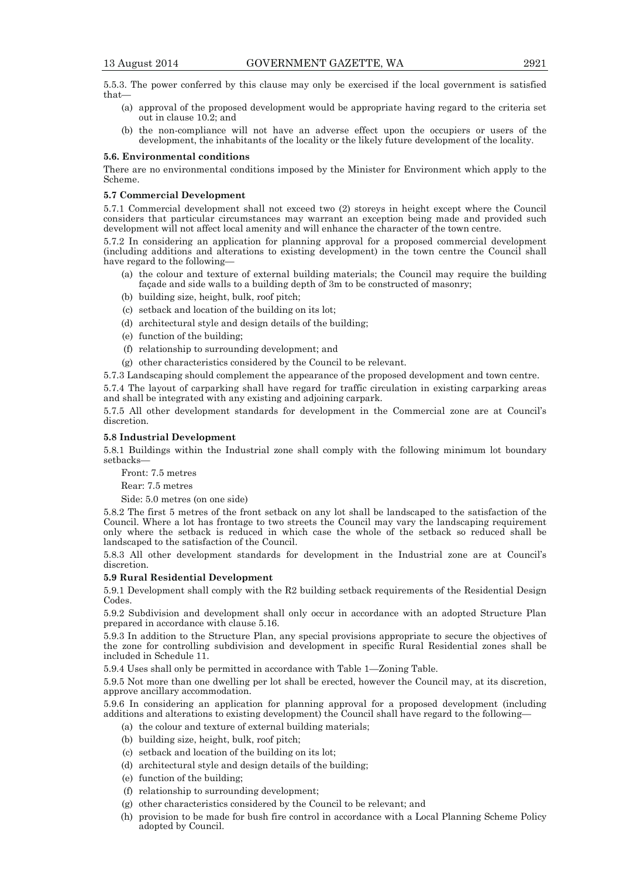5.5.3. The power conferred by this clause may only be exercised if the local government is satisfied that—

- (a) approval of the proposed development would be appropriate having regard to the criteria set out in clause 10.2; and
- (b) the non-compliance will not have an adverse effect upon the occupiers or users of the development, the inhabitants of the locality or the likely future development of the locality.

#### **5.6. Environmental conditions**

There are no environmental conditions imposed by the Minister for Environment which apply to the Scheme.

#### **5.7 Commercial Development**

5.7.1 Commercial development shall not exceed two (2) storeys in height except where the Council considers that particular circumstances may warrant an exception being made and provided such development will not affect local amenity and will enhance the character of the town centre.

5.7.2 In considering an application for planning approval for a proposed commercial development (including additions and alterations to existing development) in the town centre the Council shall have regard to the following—

- (a) the colour and texture of external building materials; the Council may require the building façade and side walls to a building depth of 3m to be constructed of masonry;
- (b) building size, height, bulk, roof pitch;
- (c) setback and location of the building on its lot;
- (d) architectural style and design details of the building;
- (e) function of the building;
- (f) relationship to surrounding development; and
- (g) other characteristics considered by the Council to be relevant.

5.7.3 Landscaping should complement the appearance of the proposed development and town centre.

5.7.4 The layout of carparking shall have regard for traffic circulation in existing carparking areas and shall be integrated with any existing and adjoining carpark.

5.7.5 All other development standards for development in the Commercial zone are at Council's discretion.

#### **5.8 Industrial Development**

5.8.1 Buildings within the Industrial zone shall comply with the following minimum lot boundary setbacks—

Front: 7.5 metres

Rear: 7.5 metres

Side: 5.0 metres (on one side)

5.8.2 The first 5 metres of the front setback on any lot shall be landscaped to the satisfaction of the Council. Where a lot has frontage to two streets the Council may vary the landscaping requirement only where the setback is reduced in which case the whole of the setback so reduced shall be landscaped to the satisfaction of the Council.

5.8.3 All other development standards for development in the Industrial zone are at Council's discretion.

#### **5.9 Rural Residential Development**

5.9.1 Development shall comply with the R2 building setback requirements of the Residential Design Codes.

5.9.2 Subdivision and development shall only occur in accordance with an adopted Structure Plan prepared in accordance with clause 5.16.

5.9.3 In addition to the Structure Plan, any special provisions appropriate to secure the objectives of the zone for controlling subdivision and development in specific Rural Residential zones shall be included in Schedule 11.

5.9.4 Uses shall only be permitted in accordance with Table 1—Zoning Table.

5.9.5 Not more than one dwelling per lot shall be erected, however the Council may, at its discretion, approve ancillary accommodation.

5.9.6 In considering an application for planning approval for a proposed development (including additions and alterations to existing development) the Council shall have regard to the following—

- (a) the colour and texture of external building materials;
- (b) building size, height, bulk, roof pitch;
- (c) setback and location of the building on its lot;
- (d) architectural style and design details of the building;
- (e) function of the building;
- (f) relationship to surrounding development;
- (g) other characteristics considered by the Council to be relevant; and
- (h) provision to be made for bush fire control in accordance with a Local Planning Scheme Policy adopted by Council.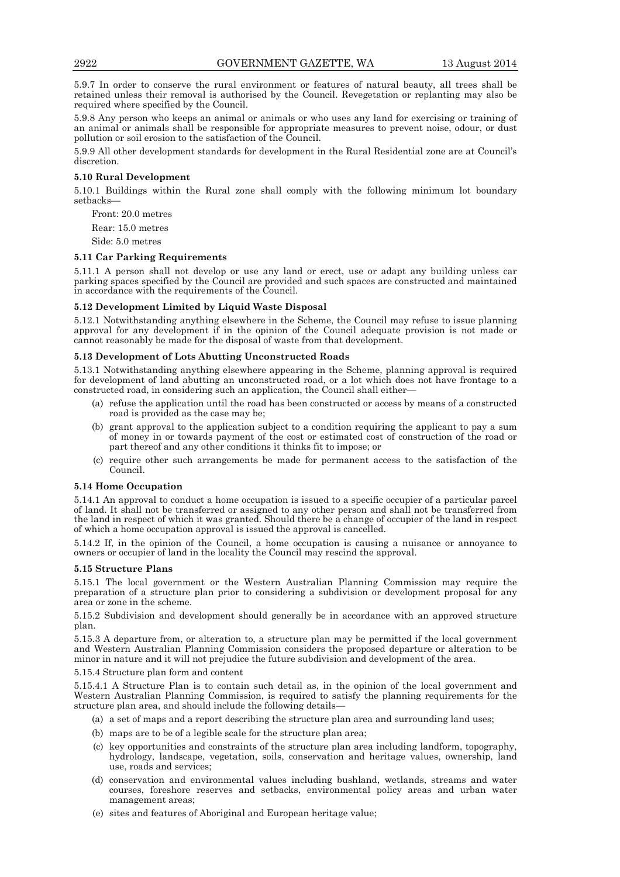5.9.7 In order to conserve the rural environment or features of natural beauty, all trees shall be retained unless their removal is authorised by the Council. Revegetation or replanting may also be required where specified by the Council.

5.9.8 Any person who keeps an animal or animals or who uses any land for exercising or training of an animal or animals shall be responsible for appropriate measures to prevent noise, odour, or dust pollution or soil erosion to the satisfaction of the Council.

5.9.9 All other development standards for development in the Rural Residential zone are at Council's discretion.

#### **5.10 Rural Development**

5.10.1 Buildings within the Rural zone shall comply with the following minimum lot boundary setbacks—

Front: 20.0 metres

Rear: 15.0 metres

Side: 5.0 metres

# **5.11 Car Parking Requirements**

5.11.1 A person shall not develop or use any land or erect, use or adapt any building unless car parking spaces specified by the Council are provided and such spaces are constructed and maintained in accordance with the requirements of the Council.

### **5.12 Development Limited by Liquid Waste Disposal**

5.12.1 Notwithstanding anything elsewhere in the Scheme, the Council may refuse to issue planning approval for any development if in the opinion of the Council adequate provision is not made or cannot reasonably be made for the disposal of waste from that development.

#### **5.13 Development of Lots Abutting Unconstructed Roads**

5.13.1 Notwithstanding anything elsewhere appearing in the Scheme, planning approval is required for development of land abutting an unconstructed road, or a lot which does not have frontage to a constructed road, in considering such an application, the Council shall either—

- (a) refuse the application until the road has been constructed or access by means of a constructed road is provided as the case may be;
- (b) grant approval to the application subject to a condition requiring the applicant to pay a sum of money in or towards payment of the cost or estimated cost of construction of the road or part thereof and any other conditions it thinks fit to impose; or
- (c) require other such arrangements be made for permanent access to the satisfaction of the Council.

#### **5.14 Home Occupation**

5.14.1 An approval to conduct a home occupation is issued to a specific occupier of a particular parcel of land. It shall not be transferred or assigned to any other person and shall not be transferred from the land in respect of which it was granted. Should there be a change of occupier of the land in respect of which a home occupation approval is issued the approval is cancelled.

5.14.2 If, in the opinion of the Council, a home occupation is causing a nuisance or annoyance to owners or occupier of land in the locality the Council may rescind the approval.

#### **5.15 Structure Plans**

5.15.1 The local government or the Western Australian Planning Commission may require the preparation of a structure plan prior to considering a subdivision or development proposal for any area or zone in the scheme.

5.15.2 Subdivision and development should generally be in accordance with an approved structure plan.

5.15.3 A departure from, or alteration to, a structure plan may be permitted if the local government and Western Australian Planning Commission considers the proposed departure or alteration to be minor in nature and it will not prejudice the future subdivision and development of the area.

5.15.4 Structure plan form and content

5.15.4.1 A Structure Plan is to contain such detail as, in the opinion of the local government and Western Australian Planning Commission, is required to satisfy the planning requirements for the structure plan area, and should include the following details—

- (a) a set of maps and a report describing the structure plan area and surrounding land uses;
- (b) maps are to be of a legible scale for the structure plan area;
- (c) key opportunities and constraints of the structure plan area including landform, topography, hydrology, landscape, vegetation, soils, conservation and heritage values, ownership, land use, roads and services;
- (d) conservation and environmental values including bushland, wetlands, streams and water courses, foreshore reserves and setbacks, environmental policy areas and urban water management areas;
- (e) sites and features of Aboriginal and European heritage value;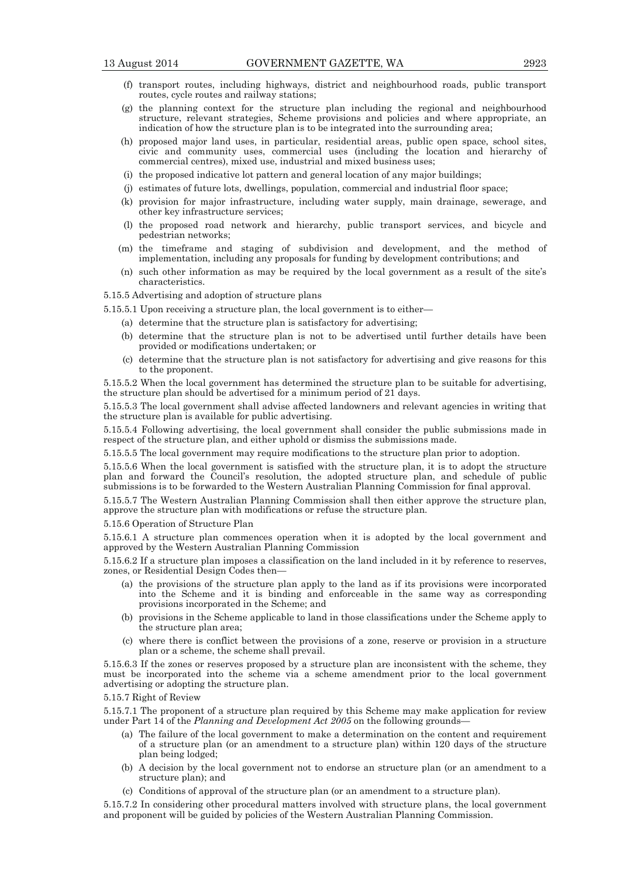- (f) transport routes, including highways, district and neighbourhood roads, public transport routes, cycle routes and railway stations;
- (g) the planning context for the structure plan including the regional and neighbourhood structure, relevant strategies, Scheme provisions and policies and where appropriate, an indication of how the structure plan is to be integrated into the surrounding area;
- (h) proposed major land uses, in particular, residential areas, public open space, school sites, civic and community uses, commercial uses (including the location and hierarchy of commercial centres), mixed use, industrial and mixed business uses;
- (i) the proposed indicative lot pattern and general location of any major buildings;
- (j) estimates of future lots, dwellings, population, commercial and industrial floor space;
- (k) provision for major infrastructure, including water supply, main drainage, sewerage, and other key infrastructure services;
- (l) the proposed road network and hierarchy, public transport services, and bicycle and pedestrian networks;
- (m) the timeframe and staging of subdivision and development, and the method of implementation, including any proposals for funding by development contributions; and
- (n) such other information as may be required by the local government as a result of the site's characteristics.

5.15.5 Advertising and adoption of structure plans

5.15.5.1 Upon receiving a structure plan, the local government is to either—

- (a) determine that the structure plan is satisfactory for advertising;
- (b) determine that the structure plan is not to be advertised until further details have been provided or modifications undertaken; or
- (c) determine that the structure plan is not satisfactory for advertising and give reasons for this to the proponent.

5.15.5.2 When the local government has determined the structure plan to be suitable for advertising, the structure plan should be advertised for a minimum period of 21 days.

5.15.5.3 The local government shall advise affected landowners and relevant agencies in writing that the structure plan is available for public advertising.

5.15.5.4 Following advertising, the local government shall consider the public submissions made in respect of the structure plan, and either uphold or dismiss the submissions made.

5.15.5.5 The local government may require modifications to the structure plan prior to adoption.

5.15.5.6 When the local government is satisfied with the structure plan, it is to adopt the structure plan and forward the Council's resolution, the adopted structure plan, and schedule of public submissions is to be forwarded to the Western Australian Planning Commission for final approval.

5.15.5.7 The Western Australian Planning Commission shall then either approve the structure plan, approve the structure plan with modifications or refuse the structure plan.

5.15.6 Operation of Structure Plan

5.15.6.1 A structure plan commences operation when it is adopted by the local government and approved by the Western Australian Planning Commission

5.15.6.2 If a structure plan imposes a classification on the land included in it by reference to reserves, zones, or Residential Design Codes then—

- (a) the provisions of the structure plan apply to the land as if its provisions were incorporated into the Scheme and it is binding and enforceable in the same way as corresponding provisions incorporated in the Scheme; and
- (b) provisions in the Scheme applicable to land in those classifications under the Scheme apply to the structure plan area;
- (c) where there is conflict between the provisions of a zone, reserve or provision in a structure plan or a scheme, the scheme shall prevail.

5.15.6.3 If the zones or reserves proposed by a structure plan are inconsistent with the scheme, they must be incorporated into the scheme via a scheme amendment prior to the local government advertising or adopting the structure plan.

5.15.7 Right of Review

5.15.7.1 The proponent of a structure plan required by this Scheme may make application for review under Part 14 of the *Planning and Development Act 2005* on the following grounds-

- (a) The failure of the local government to make a determination on the content and requirement of a structure plan (or an amendment to a structure plan) within 120 days of the structure plan being lodged;
- (b) A decision by the local government not to endorse an structure plan (or an amendment to a structure plan); and
- (c) Conditions of approval of the structure plan (or an amendment to a structure plan).

5.15.7.2 In considering other procedural matters involved with structure plans, the local government and proponent will be guided by policies of the Western Australian Planning Commission.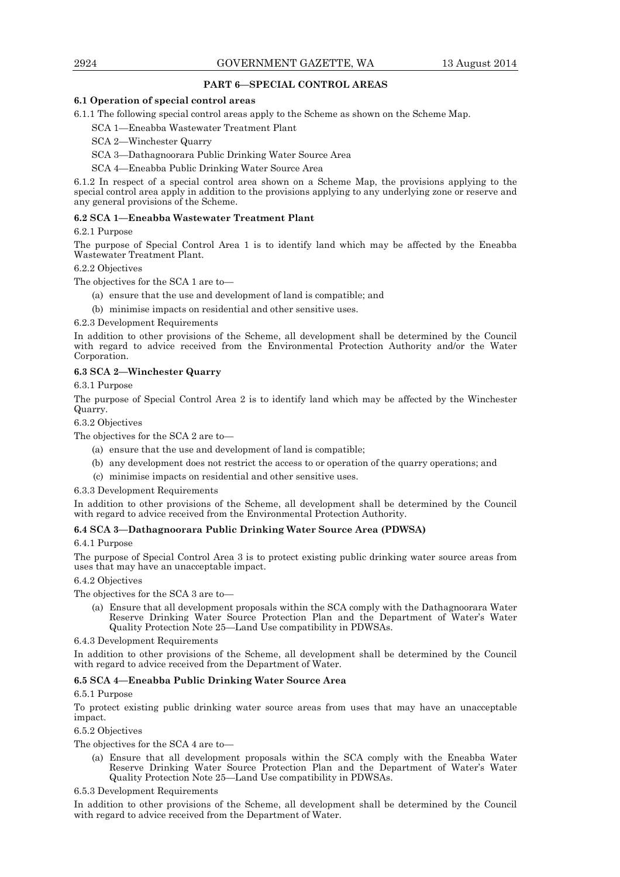# **PART 6—SPECIAL CONTROL AREAS**

# **6.1 Operation of special control areas**

6.1.1 The following special control areas apply to the Scheme as shown on the Scheme Map.

SCA 1—Eneabba Wastewater Treatment Plant

SCA 2—Winchester Quarry

SCA 3—Dathagnoorara Public Drinking Water Source Area

SCA 4—Eneabba Public Drinking Water Source Area

6.1.2 In respect of a special control area shown on a Scheme Map, the provisions applying to the special control area apply in addition to the provisions applying to any underlying zone or reserve and any general provisions of the Scheme.

# **6.2 SCA 1—Eneabba Wastewater Treatment Plant**

# 6.2.1 Purpose

The purpose of Special Control Area 1 is to identify land which may be affected by the Eneabba Wastewater Treatment Plant.

# 6.2.2 Objectives

The objectives for the SCA 1 are to—

- (a) ensure that the use and development of land is compatible; and
- (b) minimise impacts on residential and other sensitive uses.

# 6.2.3 Development Requirements

In addition to other provisions of the Scheme, all development shall be determined by the Council with regard to advice received from the Environmental Protection Authority and/or the Water Corporation.

# **6.3 SCA 2—Winchester Quarry**

6.3.1 Purpose

The purpose of Special Control Area 2 is to identify land which may be affected by the Winchester Quarry.

6.3.2 Objectives

The objectives for the SCA 2 are to—

- (a) ensure that the use and development of land is compatible;
- (b) any development does not restrict the access to or operation of the quarry operations; and
- (c) minimise impacts on residential and other sensitive uses.

# 6.3.3 Development Requirements

In addition to other provisions of the Scheme, all development shall be determined by the Council with regard to advice received from the Environmental Protection Authority.

# **6.4 SCA 3—Dathagnoorara Public Drinking Water Source Area (PDWSA)**

# 6.4.1 Purpose

The purpose of Special Control Area 3 is to protect existing public drinking water source areas from uses that may have an unacceptable impact.

6.4.2 Objectives

The objectives for the SCA 3 are to—

 (a) Ensure that all development proposals within the SCA comply with the Dathagnoorara Water Reserve Drinking Water Source Protection Plan and the Department of Water's Water Quality Protection Note 25—Land Use compatibility in PDWSAs.

6.4.3 Development Requirements

In addition to other provisions of the Scheme, all development shall be determined by the Council with regard to advice received from the Department of Water.

# **6.5 SCA 4—Eneabba Public Drinking Water Source Area**

# 6.5.1 Purpose

To protect existing public drinking water source areas from uses that may have an unacceptable impact.

6.5.2 Objectives

The objectives for the SCA 4 are to—

 (a) Ensure that all development proposals within the SCA comply with the Eneabba Water Reserve Drinking Water Source Protection Plan and the Department of Water's Water Quality Protection Note 25—Land Use compatibility in PDWSAs.

6.5.3 Development Requirements

In addition to other provisions of the Scheme, all development shall be determined by the Council with regard to advice received from the Department of Water.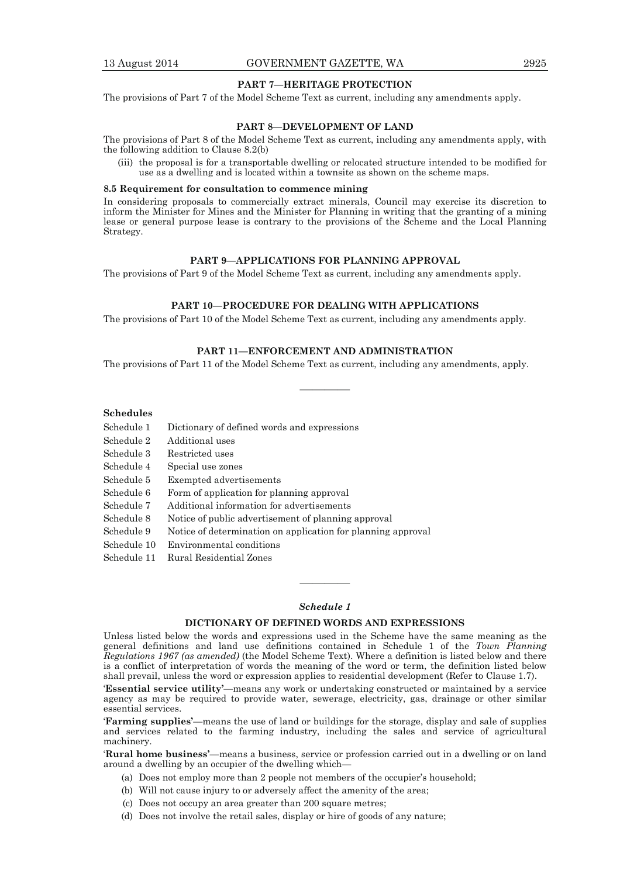# **PART 7—HERITAGE PROTECTION**

The provisions of Part 7 of the Model Scheme Text as current, including any amendments apply.

#### **PART 8—DEVELOPMENT OF LAND**

The provisions of Part 8 of the Model Scheme Text as current, including any amendments apply, with the following addition to Clause 8.2(b)

 (iii) the proposal is for a transportable dwelling or relocated structure intended to be modified for use as a dwelling and is located within a townsite as shown on the scheme maps.

#### **8.5 Requirement for consultation to commence mining**

In considering proposals to commercially extract minerals, Council may exercise its discretion to inform the Minister for Mines and the Minister for Planning in writing that the granting of a mining lease or general purpose lease is contrary to the provisions of the Scheme and the Local Planning Strategy.

# **PART 9—APPLICATIONS FOR PLANNING APPROVAL**

The provisions of Part 9 of the Model Scheme Text as current, including any amendments apply.

# **PART 10—PROCEDURE FOR DEALING WITH APPLICATIONS**

The provisions of Part 10 of the Model Scheme Text as current, including any amendments apply.

# **PART 11—ENFORCEMENT AND ADMINISTRATION**

————

The provisions of Part 11 of the Model Scheme Text as current, including any amendments, apply.

#### **Schedules**

| Schedule 1           | Dictionary of defined words and expressions         |
|----------------------|-----------------------------------------------------|
| Schedule 2           | Additional uses                                     |
| Schedule 3           | Restricted uses                                     |
| Schedule 4           | Special use zones                                   |
| Schedule 5           | Exempted advertisements                             |
| Schedule 6           | Form of application for planning approval           |
| Schedule 7           | Additional information for advertisements           |
| Schedule 8           | Notice of public advertisement of planning approval |
| $\sim$ $\sim$ $\sim$ | 37. OI. I. II. OI                                   |

Schedule 9 Notice of determination on application for planning approval

Schedule 10 Environmental conditions

Schedule 11 Rural Residential Zones

# *Schedule 1*

————

#### **DICTIONARY OF DEFINED WORDS AND EXPRESSIONS**

Unless listed below the words and expressions used in the Scheme have the same meaning as the general definitions and land use definitions contained in Schedule 1 of the *Town Planning Regulations 1967 (as amended)* (the Model Scheme Text). Where a definition is listed below and there is a conflict of interpretation of words the meaning of the word or term, the definition listed below shall prevail, unless the word or expression applies to residential development (Refer to Clause 1.7).

'**Essential service utility'**—means any work or undertaking constructed or maintained by a service agency as may be required to provide water, sewerage, electricity, gas, drainage or other similar essential services.

'**Farming supplies'**—means the use of land or buildings for the storage, display and sale of supplies and services related to the farming industry, including the sales and service of agricultural machinery.

'**Rural home business'**—means a business, service or profession carried out in a dwelling or on land around a dwelling by an occupier of the dwelling which—

- (a) Does not employ more than 2 people not members of the occupier's household;
- (b) Will not cause injury to or adversely affect the amenity of the area;
- (c) Does not occupy an area greater than 200 square metres;
- (d) Does not involve the retail sales, display or hire of goods of any nature;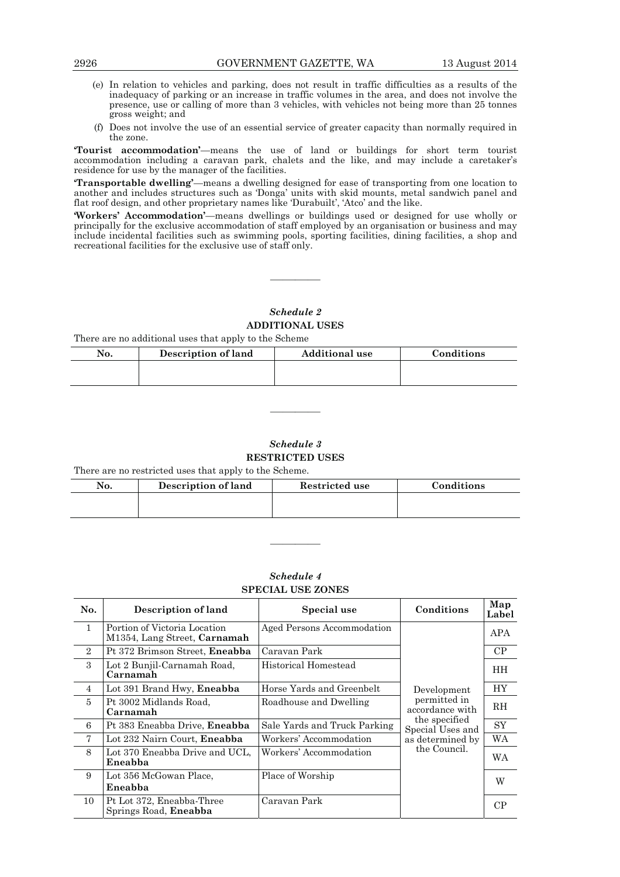- (e) In relation to vehicles and parking, does not result in traffic difficulties as a results of the inadequacy of parking or an increase in traffic volumes in the area, and does not involve the presence, use or calling of more than 3 vehicles, with vehicles not being more than 25 tonnes gross weight; and
- (f) Does not involve the use of an essential service of greater capacity than normally required in the zone.

**'Tourist accommodation'**—means the use of land or buildings for short term tourist accommodation including a caravan park, chalets and the like, and may include a caretaker's residence for use by the manager of the facilities.

**'Transportable dwelling'**—means a dwelling designed for ease of transporting from one location to another and includes structures such as 'Donga' units with skid mounts, metal sandwich panel and flat roof design, and other proprietary names like 'Durabuilt', 'Atco' and the like.

**'Workers' Accommodation'**—means dwellings or buildings used or designed for use wholly or principally for the exclusive accommodation of staff employed by an organisation or business and may include incidental facilities such as swimming pools, sporting facilities, dining facilities, a shop and recreational facilities for the exclusive use of staff only.

# *Schedule 2*  **ADDITIONAL USES**

————

There are no additional uses that apply to the Scheme

| No. | Description of land | <b>Additional use</b> | Conditions |
|-----|---------------------|-----------------------|------------|
|     |                     |                       |            |
|     |                     |                       |            |

*Schedule 3*  **RESTRICTED USES** 

————

There are no restricted uses that apply to the Scheme.

| No. | <b>Description of land</b> | Restricted use | Conditions |
|-----|----------------------------|----------------|------------|
|     |                            |                |            |
|     |                            |                |            |

————

# *Schedule 4*  **SPECIAL USE ZONES**

| No.            | Description of land                                          | Special use                  | Conditions                        | Map<br>Label |
|----------------|--------------------------------------------------------------|------------------------------|-----------------------------------|--------------|
| $\mathbf{1}$   | Portion of Victoria Location<br>M1354, Lang Street, Carnamah | Aged Persons Accommodation   |                                   | APA          |
| $\overline{2}$ | Pt 372 Brimson Street, Eneabba                               | Caravan Park                 |                                   | CP           |
| $\mathcal{S}$  | Lot 2 Bunjil-Carnamah Road,<br>Carnamah                      | Historical Homestead         |                                   | HH.          |
| $\overline{4}$ | Lot 391 Brand Hwy, Eneabba                                   | Horse Yards and Greenbelt    | Development                       | <b>HY</b>    |
| $\overline{5}$ | Pt 3002 Midlands Road,<br>Carnamah                           | Roadhouse and Dwelling       | permitted in<br>accordance with   | <b>RH</b>    |
| 6              | Pt 383 Eneabba Drive, Eneabba                                | Sale Yards and Truck Parking | the specified<br>Special Uses and | SY           |
| $\tau$         | Lot 232 Nairn Court, Eneabba                                 | Workers' Accommodation       | as determined by                  | WA           |
| 8              | Lot 370 Eneabba Drive and UCL.<br>Eneabba                    | Workers' Accommodation       | the Council.                      | WA           |
| 9              | Lot 356 McGowan Place,<br>Eneabba                            | Place of Worship             |                                   | W            |
| 10             | Pt Lot 372, Eneabba-Three<br>Springs Road, Eneabba           | Caravan Park                 |                                   | CP           |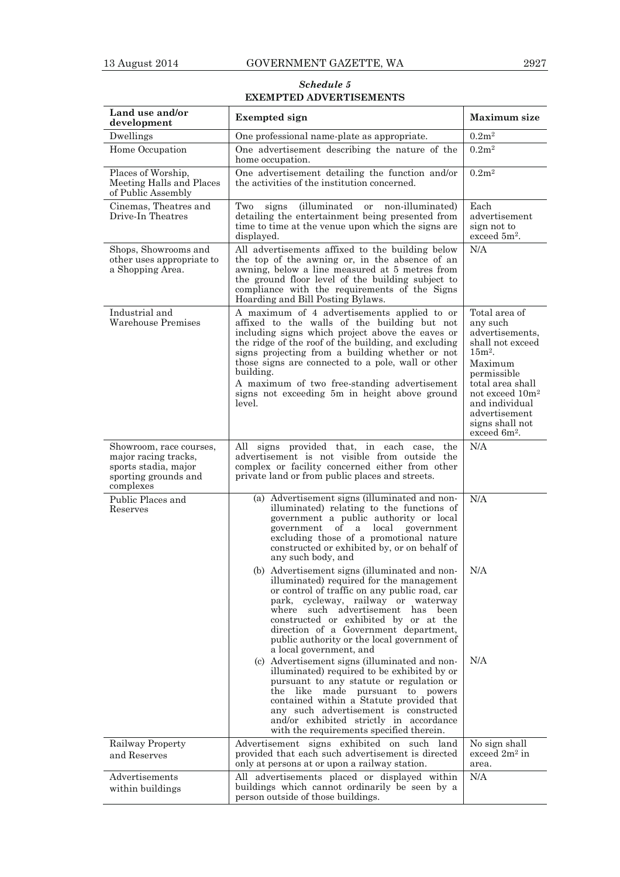*Schedule 5*  **EXEMPTED ADVERTISEMENTS** 

| Land use and/or<br>development                                                                               | <b>Exempted</b> sign                                                                                                                                                                                                                                                                                                                                                                                                                                                                                                                                                                                                                                                                                                                              | <b>Maximum</b> size                                                                                                                                                                                                                         |
|--------------------------------------------------------------------------------------------------------------|---------------------------------------------------------------------------------------------------------------------------------------------------------------------------------------------------------------------------------------------------------------------------------------------------------------------------------------------------------------------------------------------------------------------------------------------------------------------------------------------------------------------------------------------------------------------------------------------------------------------------------------------------------------------------------------------------------------------------------------------------|---------------------------------------------------------------------------------------------------------------------------------------------------------------------------------------------------------------------------------------------|
| Dwellings                                                                                                    | One professional name-plate as appropriate.                                                                                                                                                                                                                                                                                                                                                                                                                                                                                                                                                                                                                                                                                                       | 0.2m <sup>2</sup>                                                                                                                                                                                                                           |
| Home Occupation                                                                                              | One advertisement describing the nature of the<br>home occupation.                                                                                                                                                                                                                                                                                                                                                                                                                                                                                                                                                                                                                                                                                | 0.2m <sup>2</sup>                                                                                                                                                                                                                           |
| Places of Worship,<br>Meeting Halls and Places<br>of Public Assembly                                         | One advertisement detailing the function and/or<br>the activities of the institution concerned.                                                                                                                                                                                                                                                                                                                                                                                                                                                                                                                                                                                                                                                   | 0.2m <sup>2</sup>                                                                                                                                                                                                                           |
| Cinemas, Theatres and<br>Drive-In Theatres                                                                   | <i>(illuminated)</i><br>signs<br>non-illuminated)<br>Two<br>or<br>detailing the entertainment being presented from<br>time to time at the venue upon which the signs are<br>displayed.                                                                                                                                                                                                                                                                                                                                                                                                                                                                                                                                                            | Each<br>advertisement<br>sign not to<br>$exceed 5m2$ .                                                                                                                                                                                      |
| Shops, Showrooms and<br>other uses appropriate to<br>a Shopping Area.                                        | All advertisements affixed to the building below<br>the top of the awning or, in the absence of an<br>awning, below a line measured at 5 metres from<br>the ground floor level of the building subject to<br>compliance with the requirements of the Signs<br>Hoarding and Bill Posting Bylaws.                                                                                                                                                                                                                                                                                                                                                                                                                                                   | N/A                                                                                                                                                                                                                                         |
| Industrial and<br>Warehouse Premises                                                                         | A maximum of 4 advertisements applied to or<br>affixed to the walls of the building but not<br>including signs which project above the eaves or<br>the ridge of the roof of the building, and excluding<br>signs projecting from a building whether or not<br>those signs are connected to a pole, wall or other<br>building.<br>A maximum of two free-standing advertisement<br>signs not exceeding 5m in height above ground<br>level.                                                                                                                                                                                                                                                                                                          | Total area of<br>anv such<br>advertisements,<br>shall not exceed<br>$15m2$ .<br>Maximum<br>permissible<br>total area shall<br>not exceed 10m <sup>2</sup><br>and individual<br>advertisement<br>signs shall not<br>exceed 6m <sup>2</sup> . |
| Showroom, race courses,<br>major racing tracks,<br>sports stadia, major<br>sporting grounds and<br>complexes | All signs provided that, in each case, the<br>advertisement is not visible from outside the<br>complex or facility concerned either from other<br>private land or from public places and streets.                                                                                                                                                                                                                                                                                                                                                                                                                                                                                                                                                 | N/A                                                                                                                                                                                                                                         |
| Public Places and<br>Reserves                                                                                | (a) Advertisement signs (illuminated and non-<br>illuminated) relating to the functions of<br>government a public authority or local<br>of a local<br>government<br>government<br>excluding those of a promotional nature<br>constructed or exhibited by, or on behalf of<br>any such body, and                                                                                                                                                                                                                                                                                                                                                                                                                                                   | N/A                                                                                                                                                                                                                                         |
|                                                                                                              | (b) Advertisement signs (illuminated and non-<br>illuminated) required for the management<br>or control of traffic on any public road, car<br>park, cycleway, railway or waterway<br>such advertisement has been<br>where<br>constructed or exhibited by or at the<br>direction of a Government department,<br>public authority or the local government of<br>a local government, and<br>(c) Advertisement signs (illuminated and non-<br>illuminated) required to be exhibited by or<br>pursuant to any statute or regulation or<br>the like made pursuant to powers<br>contained within a Statute provided that<br>any such advertisement is constructed<br>and/or exhibited strictly in accordance<br>with the requirements specified therein. | N/A<br>N/A                                                                                                                                                                                                                                  |
| Railway Property<br>and Reserves                                                                             | Advertisement signs exhibited on such land<br>provided that each such advertisement is directed<br>only at persons at or upon a railway station.                                                                                                                                                                                                                                                                                                                                                                                                                                                                                                                                                                                                  | No sign shall<br>exceed $2m^2$ in<br>area.                                                                                                                                                                                                  |
| Advertisements<br>within buildings                                                                           | All advertisements placed or displayed within<br>buildings which cannot ordinarily be seen by a<br>person outside of those buildings.                                                                                                                                                                                                                                                                                                                                                                                                                                                                                                                                                                                                             | N/A                                                                                                                                                                                                                                         |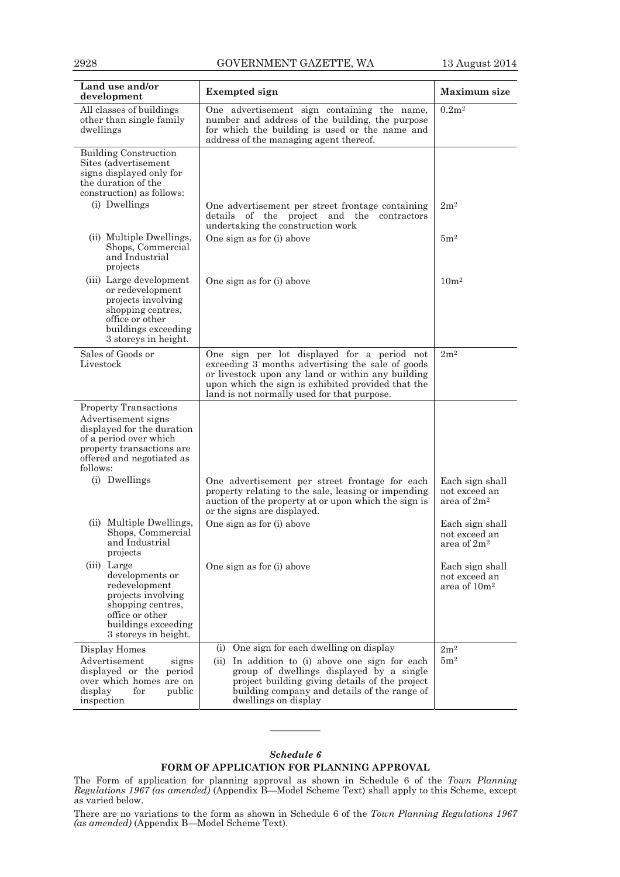| Land use and/or<br>development                                                                                                                                                    | <b>Exempted</b> sign                                                                                                                                                                                                                                               | <b>Maximum</b> size                                          |
|-----------------------------------------------------------------------------------------------------------------------------------------------------------------------------------|--------------------------------------------------------------------------------------------------------------------------------------------------------------------------------------------------------------------------------------------------------------------|--------------------------------------------------------------|
| All classes of buildings<br>other than single family<br>dwellings                                                                                                                 | One advertisement sign containing the name,<br>number and address of the building, the purpose<br>for which the building is used or the name and<br>address of the managing agent thereof.                                                                         | 0.2m <sup>2</sup>                                            |
| <b>Building Construction</b><br>Sites (advertisement<br>signs displayed only for<br>the duration of the<br>construction) as follows:                                              |                                                                                                                                                                                                                                                                    |                                                              |
| (i) Dwellings                                                                                                                                                                     | One advertisement per street frontage containing<br>details of the project and the contractors<br>undertaking the construction work                                                                                                                                | 2m <sup>2</sup>                                              |
| (ii) Multiple Dwellings,<br>Shops, Commercial<br>and Industrial<br>projects                                                                                                       | One sign as for (i) above                                                                                                                                                                                                                                          | 5m <sup>2</sup>                                              |
| (iii) Large development<br>or redevelopment<br>projects involving<br>shopping centres,<br>office or other<br>buildings exceeding<br>3 storeys in height.                          | One sign as for (i) above                                                                                                                                                                                                                                          | 10 <sup>m²</sup>                                             |
| Sales of Goods or<br>Livestock                                                                                                                                                    | One sign per lot displayed for a period not<br>exceeding 3 months advertising the sale of goods<br>or livestock upon any land or within any building<br>upon which the sign is exhibited provided that the<br>land is not normally used for that purpose.          | 2m <sup>2</sup>                                              |
| <b>Property Transactions</b><br>Advertisement signs<br>displayed for the duration<br>of a period over which<br>property transactions are<br>offered and negotiated as<br>follows: |                                                                                                                                                                                                                                                                    |                                                              |
| (i) Dwellings                                                                                                                                                                     | One advertisement per street frontage for each<br>property relating to the sale, leasing or impending<br>auction of the property at or upon which the sign is<br>or the signs are displayed.                                                                       | Each sign shall<br>not exceed an<br>area of 2m <sup>2</sup>  |
| (ii) Multiple Dwellings,<br>Shops, Commercial<br>and Industrial<br>projects                                                                                                       | One sign as for (i) above                                                                                                                                                                                                                                          | Each sign shall<br>not exceed an<br>area of 2m <sup>2</sup>  |
| (iii) Large<br>developments or<br>redevelopment<br>projects involving<br>shopping centres,<br>office or other<br>buildings exceeding<br>3 storeys in height.                      | One sign as for (i) above                                                                                                                                                                                                                                          | Each sign shall<br>not exceed an<br>area of 10m <sup>2</sup> |
| Display Homes<br>Advertisement<br>signs<br>displayed or the<br>period<br>over which homes are on<br>display<br>for<br>public<br>inspection                                        | (i) One sign for each dwelling on display<br>(ii) In addition to (i) above one sign for each<br>group of dwellings displayed by a single<br>project building giving details of the project<br>building company and details of the range of<br>dwellings on display | $2\mathrm{m}^2$<br>5m <sup>2</sup>                           |

# *Schedule 6*  **FORM OF APPLICATION FOR PLANNING APPROVAL**

————

The Form of application for planning approval as shown in Schedule 6 of the *Town Planning Regulations 1967 (as amended)* (Appendix B—Model Scheme Text) shall apply to this Scheme, except as varied below.

There are no variations to the form as shown in Schedule 6 of the *Town Planning Regulations 1967 (as amended)* (Appendix B—Model Scheme Text).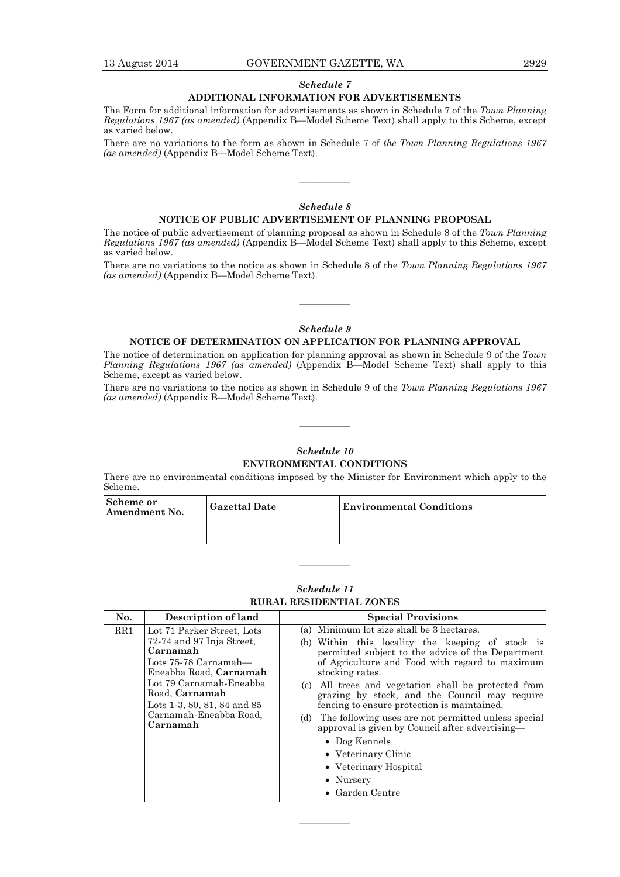# *Schedule 7*

# **ADDITIONAL INFORMATION FOR ADVERTISEMENTS**

The Form for additional information for advertisements as shown in Schedule 7 of the *Town Planning Regulations 1967 (as amended)* (Appendix B—Model Scheme Text) shall apply to this Scheme, except as varied below.

There are no variations to the form as shown in Schedule 7 of *the Town Planning Regulations 1967 (as amended)* (Appendix B—Model Scheme Text).

# *Schedule 8*

————

#### **NOTICE OF PUBLIC ADVERTISEMENT OF PLANNING PROPOSAL**

The notice of public advertisement of planning proposal as shown in Schedule 8 of the *Town Planning Regulations 1967 (as amended)* (Appendix B—Model Scheme Text) shall apply to this Scheme, except as varied below.

There are no variations to the notice as shown in Schedule 8 of the *Town Planning Regulations 1967 (as amended)* (Appendix B—Model Scheme Text).

# *Schedule 9*

————

#### **NOTICE OF DETERMINATION ON APPLICATION FOR PLANNING APPROVAL**

The notice of determination on application for planning approval as shown in Schedule 9 of the *Town Planning Regulations 1967 (as amended)* (Appendix B—Model Scheme Text) shall apply to this Scheme, except as varied below.

There are no variations to the notice as shown in Schedule 9 of the *Town Planning Regulations 1967 (as amended)* (Appendix B—Model Scheme Text).

————

# *Schedule 10*  **ENVIRONMENTAL CONDITIONS**

There are no environmental conditions imposed by the Minister for Environment which apply to the Scheme.

| Scheme or<br>Amendment No. | <b>Gazettal Date</b> | <b>Environmental Conditions</b> |
|----------------------------|----------------------|---------------------------------|
|                            |                      |                                 |

# *Schedule 11*  **RURAL RESIDENTIAL ZONES**

————

| No. | Description of land                                                                                                                                                                                                                       | <b>Special Provisions</b>                                                                                                                                                                                                                                                                                                                                                                                                                                                                                                                                                                         |
|-----|-------------------------------------------------------------------------------------------------------------------------------------------------------------------------------------------------------------------------------------------|---------------------------------------------------------------------------------------------------------------------------------------------------------------------------------------------------------------------------------------------------------------------------------------------------------------------------------------------------------------------------------------------------------------------------------------------------------------------------------------------------------------------------------------------------------------------------------------------------|
| RR1 | Lot 71 Parker Street, Lots<br>72-74 and 97 Inja Street,<br>Carnamah<br>Lots $75-78$ Carnamah—<br>Eneabba Road, Carnamah<br>Lot 79 Carnamah-Eneabba<br>Road, Carnamah<br>Lots 1-3, 80, 81, 84 and 85<br>Carnamah-Eneabba Road,<br>Carnamah | (a) Minimum lot size shall be 3 hectares.<br>(b) Within this locality the keeping of stock is<br>permitted subject to the advice of the Department<br>of Agriculture and Food with regard to maximum<br>stocking rates.<br>(c) All trees and vegetation shall be protected from<br>grazing by stock, and the Council may require<br>fencing to ensure protection is maintained.<br>The following uses are not permitted unless special<br>(d)<br>approval is given by Council after advertising-<br>• Dog Kennels<br>• Veterinary Clinic<br>• Veterinary Hospital<br>• Nursery<br>• Garden Centre |

————